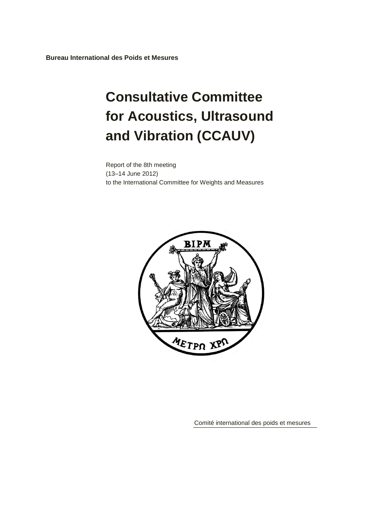**Bureau International des Poids et Mesures**

# **Consultative Committee for Acoustics, Ultrasound and Vibration (CCAUV)**

Report of the 8th meeting (13–14 June 2012) to the International Committee for Weights and Measures



Comité international des poids et mesures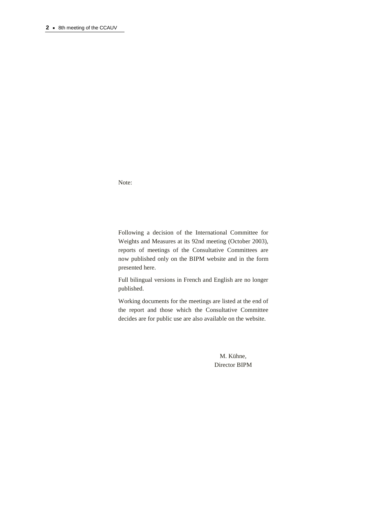Note:

Following a decision of the International Committee for Weights and Measures at its 92nd meeting (October 2003), reports of meetings of the Consultative Committees are now published only on the BIPM website and in the form presented here.

Full bilingual versions in French and English are no longer published.

Working documents for the meetings are listed at the end of the report and those which the Consultative Committee decides are for public use are also available on the website.

> M. Kühne, Director BIPM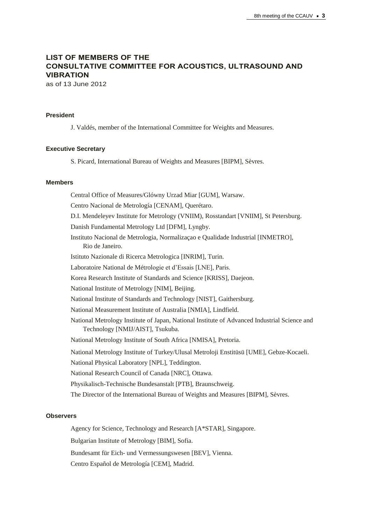# **LIST OF MEMBERS OF THE CONSULTATIVE COMMITTEE FOR ACOUSTICS, ULTRASOUND AND VIBRATION**

as of 13 June 2012

## **President**

J. Valdés, member of the International Committee for Weights and Measures.

#### **Executive Secretary**

S. Picard, International Bureau of Weights and Measures [BIPM], Sèvres.

#### **Members**

Central Office of Measures/Glówny Urzad Miar [GUM], Warsaw. Centro Nacional de Metrología [CENAM], Querétaro. D.I. Mendeleyev Institute for Metrology (VNIIM), Rosstandart [VNIIM], St Petersburg. Danish Fundamental Metrology Ltd [DFM], Lyngby. Instituto Nacional de Metrologia, Normalizaçao e Qualidade Industrial [INMETRO], Rio de Janeiro. Istituto Nazionale di Ricerca Metrologica [INRIM], Turin. Laboratoire National de Métrologie et d'Essais [LNE], Paris. Korea Research Institute of Standards and Science [KRISS], Daejeon. National Institute of Metrology [NIM], Beijing. National Institute of Standards and Technology [NIST], Gaithersburg. National Measurement Institute of Australia [NMIA], Lindfield. National Metrology Institute of Japan, National Institute of Advanced Industrial Science and Technology [NMIJ/AIST], Tsukuba. National Metrology Institute of South Africa [NMISA], Pretoria. National Metrology Institute of Turkey/Ulusal Metroloji Enstitüsü [UME], Gebze-Kocaeli. National Physical Laboratory [NPL], Teddington. National Research Council of Canada [NRC], Ottawa. Physikalisch-Technische Bundesanstalt [PTB], Braunschweig. The Director of the International Bureau of Weights and Measures [BIPM], Sèvres.

## **Observers**

Agency for Science, Technology and Research [A\*STAR], Singapore.

Bulgarian Institute of Metrology [BIM], Sofia.

Bundesamt für Eich- und Vermessungswesen [BEV], Vienna.

Centro Español de Metrología [CEM], Madrid.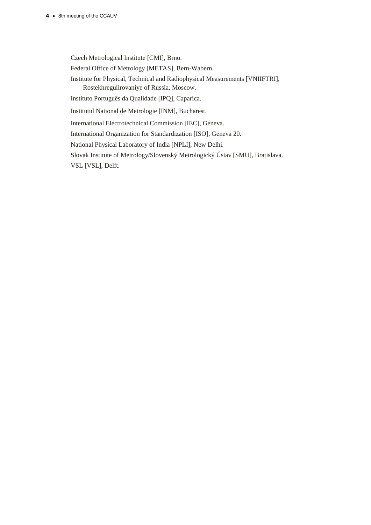Czech Metrological Institute [CMI], Brno.

Federal Office of Metrology [METAS], Bern-Wabern.

Institute for Physical, Technical and Radiophysical Measurements [VNIIFTRI], Rostekhregulirovaniye of Russia, Moscow.

Instituto Português da Qualidade [IPQ], Caparica.

Institutul National de Metrologie [INM], Bucharest.

International Electrotechnical Commission [IEC], Geneva.

International Organization for Standardization [ISO], Geneva 20.

National Physical Laboratory of India [NPLI], New Delhi.

Slovak Institute of Metrology/Slovenský Metrologický Ústav [SMU], Bratislava.

VSL [VSL], Delft.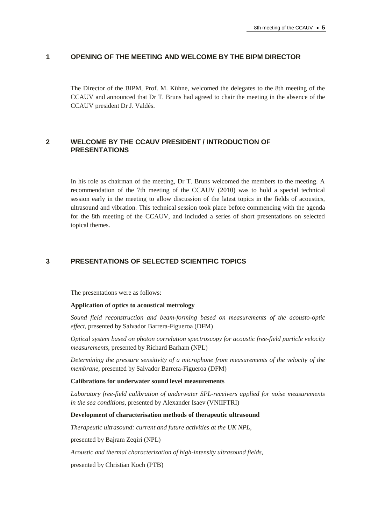#### **1 OPENING OF THE MEETING AND WELCOME BY THE BIPM DIRECTOR**

The Director of the BIPM, Prof. M. Kühne, welcomed the delegates to the 8th meeting of the CCAUV and announced that Dr T. Bruns had agreed to chair the meeting in the absence of the CCAUV president Dr J. Valdés.

## **2 WELCOME BY THE CCAUV PRESIDENT / INTRODUCTION OF PRESENTATIONS**

In his role as chairman of the meeting, Dr T. Bruns welcomed the members to the meeting. A recommendation of the 7th meeting of the CCAUV (2010) was to hold a special technical session early in the meeting to allow discussion of the latest topics in the fields of acoustics, ultrasound and vibration. This technical session took place before commencing with the agenda for the 8th meeting of the CCAUV, and included a series of short presentations on selected topical themes.

## **3 PRESENTATIONS OF SELECTED SCIENTIFIC TOPICS**

The presentations were as follows:

#### **Application of optics to acoustical metrology**

*Sound field reconstruction and beam-forming based on measurements of the acousto-optic effect,* presented by Salvador Barrera-Figueroa (DFM)

*Optical system based on photon correlation spectroscopy for acoustic free-field particle velocity measurements,* presented by Richard Barham (NPL)

*Determining the pressure sensitivity of a microphone from measurements of the velocity of the membrane,* presented by Salvador Barrera-Figueroa (DFM)

#### **Calibrations for underwater sound level measurements**

*Laboratory free-field calibration of underwater SPL-receivers applied for noise measurements in the sea conditions,* presented by Alexander Isaev (VNIIFTRI)

#### **Development of characterisation methods of therapeutic ultrasound**

*Therapeutic ultrasound: current and future activities at the UK NPL,*

presented by Bajram Zeqiri (NPL)

*Acoustic and thermal characterization of high-intensity ultrasound fields,*

presented by Christian Koch (PTB)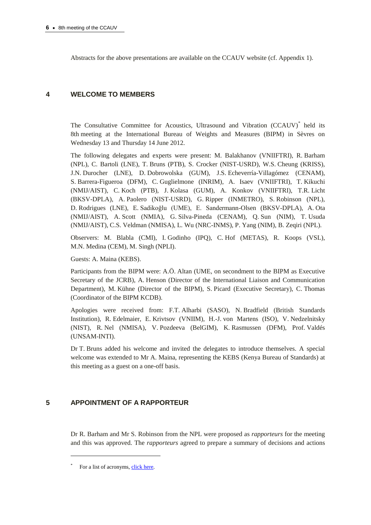Abstracts for the above presentations are available on the CCAUV website (cf. Appendix 1).

# **4 WELCOME TO MEMBERS**

The Consultative Committee for Acoustics, Ultrasound and Vibration (CCAUV)\* held its 8th meeting at the International Bureau of Weights and Measures (BIPM) in Sèvres on Wednesday 13 and Thursday 14 June 2012.

The following delegates and experts were present: M. Balakhanov (VNIIFTRI), R. Barham (NPL), C. Bartoli (LNE), T. Bruns (PTB), S. Crocker (NIST-USRD), W.S. Cheung (KRISS), J.N. Durocher (LNE), D. Dobrowolska (GUM), J.S. Echeverría-Villagómez (CENAM), S. Barrera-Figueroa (DFM), C. Guglielmone (INRIM), A. Isaev (VNIIFTRI), T. Kikuchi (NMIJ/AIST), C. Koch (PTB), J. Kolasa (GUM), A. Konkov (VNIIFTRI), T.R. Licht (BKSV-DPLA), A. Paolero (NIST-USRD), G. Ripper (INMETRO), S. Robinson (NPL), D. Rodrigues (LNE), E. Sadikoğlu (UME), E. Sandermann-Olsen (BKSV-DPLA), A. Ota (NMIJ/AIST), A. Scott (NMIA), G. Silva-Pineda (CENAM), Q. Sun (NIM), T. Usuda (NMIJ/AIST), C.S. Veldman (NMISA), L. Wu (NRC-INMS), P. Yang (NIM), B. Zeqiri (NPL).

Observers: M. Blabla (CMI), I. Godinho (IPQ), C. Hof (METAS), R. Koops (VSL), M.N. Medina (CEM), M. Singh (NPLI).

Guests: A. Maina (KEBS).

Participants from the BIPM were: A.Ö. Altan (UME, on secondment to the BIPM as Executive Secretary of the JCRB), A. Henson (Director of the International Liaison and Communication Department), M. Kühne (Director of the BIPM), S. Picard (Executive Secretary), C. Thomas (Coordinator of the BIPM KCDB).

Apologies were received from: F.T. Alharbi (SASO), N. Bradfield (British Standards Institution), R. Edelmaier, E. Krivtsov (VNIIM), H.-J. von Martens (ISO), V. Nedzelnitsky (NIST), R. Nel (NMISA), V. Pozdeeva (BelGIM), K. Rasmussen (DFM), Prof. Valdés (UNSAM-INTI).

Dr T. Bruns added his welcome and invited the delegates to introduce themselves. A special welcome was extended to Mr A. Maina, representing the KEBS (Kenya Bureau of Standards) at this meeting as a guest on a one-off basis.

# **5 APPOINTMENT OF A RAPPORTEUR**

Dr R. Barham and Mr S. Robinson from the NPL were proposed as *rapporteurs* for the meeting and this was approved. The *rapporteurs* agreed to prepare a summary of decisions and actions

 $\overline{a}$ 

<sup>\*</sup> For a list of acronyms, [click here.](http://www.bipm.org/en/practical_info/acronyms.html)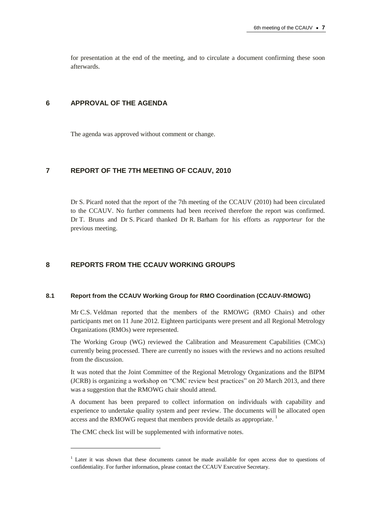for presentation at the end of the meeting, and to circulate a document confirming these soon afterwards.

## **6 APPROVAL OF THE AGENDA**

The agenda was approved without comment or change.

# **7 REPORT OF THE 7TH MEETING OF CCAUV, 2010**

Dr S. Picard noted that the report of the 7th meeting of the CCAUV (2010) had been circulated to the CCAUV. No further comments had been received therefore the report was confirmed. Dr T. Bruns and Dr S. Picard thanked Dr R. Barham for his efforts as *rapporteur* for the previous meeting.

## **8 REPORTS FROM THE CCAUV WORKING GROUPS**

#### **8.1 Report from the CCAUV Working Group for RMO Coordination (CCAUV-RMOWG)**

Mr C.S. Veldman reported that the members of the RMOWG (RMO Chairs) and other participants met on 11 June 2012. Eighteen participants were present and all Regional Metrology Organizations (RMOs) were represented.

The Working Group (WG) reviewed the Calibration and Measurement Capabilities (CMCs) currently being processed. There are currently no issues with the reviews and no actions resulted from the discussion.

It was noted that the Joint Committee of the Regional Metrology Organizations and the BIPM (JCRB) is organizing a workshop on "CMC review best practices" on 20 March 2013, and there was a suggestion that the RMOWG chair should attend.

A document has been prepared to collect information on individuals with capability and experience to undertake quality system and peer review. The documents will be allocated open access and the RMOWG request that members provide details as appropriate.<sup>1</sup>

The CMC check list will be supplemented with informative notes.

 $\overline{a}$ 

<sup>&</sup>lt;sup>1</sup> Later it was shown that these documents cannot be made available for open access due to questions of confidentiality. For further information, please contact the CCAUV Executive Secretary.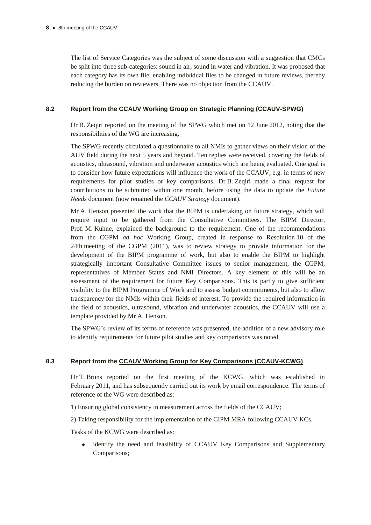The list of Service Categories was the subject of some discussion with a suggestion that CMCs be split into three sub-categories: sound in air, sound in water and vibration. It was proposed that each category has its own file, enabling individual files to be changed in future reviews, thereby reducing the burden on reviewers. There was no objection from the CCAUV.

## **8.2 Report from the CCAUV Working Group on Strategic Planning (CCAUV-SPWG)**

Dr B. Zeqiri reported on the meeting of the SPWG which met on 12 June 2012, noting that the responsibilities of the WG are increasing.

The SPWG recently circulated a questionnaire to all NMIs to gather views on their vision of the AUV field during the next 5 years and beyond. Ten replies were received, covering the fields of acoustics, ultrasound, vibration and underwater acoustics which are being evaluated. One goal is to consider how future expectations will influence the work of the CCAUV, e.g. in terms of new requirements for pilot studies or key comparisons. Dr B. Zeqiri made a final request for contributions to be submitted within one month, before using the data to update the *Future Needs* document (now renamed the *CCAUV Strategy* document).

Mr A. Henson presented the work that the BIPM is undertaking on future strategy, which will require input to be gathered from the Consultative Committees. The BIPM Director, Prof. M. Kühne, explained the background to the requirement. One of the recommendations from the CGPM *ad hoc* Working Group, created in response to Resolution 10 of the 24th meeting of the CGPM (2011), was to review strategy to provide information for the development of the BIPM programme of work, but also to enable the BIPM to highlight strategically important Consultative Committee issues to senior management, the CGPM, representatives of Member States and NMI Directors. A key element of this will be an assessment of the requirement for future Key Comparisons. This is partly to give sufficient visibility to the BIPM Programme of Work and to assess budget commitments, but also to allow transparency for the NMIs within their fields of interest. To provide the required information in the field of acoustics, ultrasound, vibration and underwater acoustics, the CCAUV will use a template provided by Mr A. Henson.

The SPWG's review of its terms of reference was presented, the addition of a new advisory role to identify requirements for future pilot studies and key comparisons was noted.

## **8.3 Report from the [CCAUV Working Group for Key Comparisons \(CCAUV-KCWG\)](http://www.bipm.org/wg/CCAUV/CCAUV-KCWG/Restricted/welcome.jsp)**

Dr T. Bruns reported on the first meeting of the KCWG, which was established in February 2011, and has subsequently carried out its work by email correspondence. The terms of reference of the WG were described as:

1) Ensuring global consistency in measurement across the fields of the CCAUV;

2) Taking responsibility for the implementation of the CIPM MRA following CCAUV KCs.

Tasks of the KCWG were described as:

identify the need and feasibility of CCAUV Key Comparisons and Supplementary  $\bullet$ Comparisons;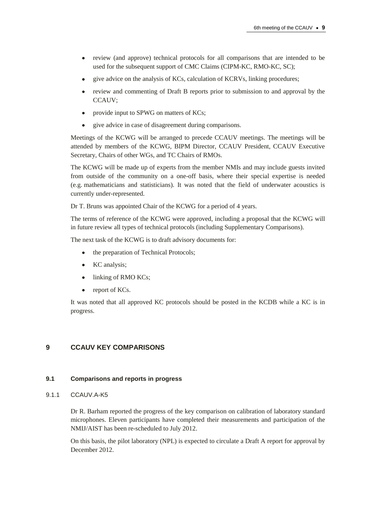- review (and approve) technical protocols for all comparisons that are intended to be  $\bullet$ used for the subsequent support of CMC Claims (CIPM-KC, RMO-KC, SC);
- give advice on the analysis of KCs, calculation of KCRVs, linking procedures;
- review and commenting of Draft B reports prior to submission to and approval by the CCAUV;
- provide input to SPWG on matters of KCs;  $\bullet$
- $\bullet$ give advice in case of disagreement during comparisons.

Meetings of the KCWG will be arranged to precede CCAUV meetings. The meetings will be attended by members of the KCWG, BIPM Director, CCAUV President, CCAUV Executive Secretary, Chairs of other WGs, and TC Chairs of RMOs.

The KCWG will be made up of experts from the member NMIs and may include guests invited from outside of the community on a one-off basis, where their special expertise is needed (e.g. mathematicians and statisticians). It was noted that the field of underwater acoustics is currently under-represented.

Dr T. Bruns was appointed Chair of the KCWG for a period of 4 years.

The terms of reference of the KCWG were approved, including a proposal that the KCWG will in future review all types of technical protocols (including Supplementary Comparisons).

The next task of the KCWG is to draft advisory documents for:

- the preparation of Technical Protocols;  $\bullet$
- $\bullet$ KC analysis;
- linking of RMO KCs;  $\bullet$
- report of KCs.  $\bullet$

It was noted that all approved KC protocols should be posted in the KCDB while a KC is in progress.

# **9 CCAUV KEY COMPARISONS**

#### **9.1 Comparisons and reports in progress**

9.1.1 CCAUV A-K5

Dr R. Barham reported the progress of the key comparison on calibration of laboratory standard microphones. Eleven participants have completed their measurements and participation of the NMIJ/AIST has been re-scheduled to July 2012.

On this basis, the pilot laboratory (NPL) is expected to circulate a Draft A report for approval by December 2012.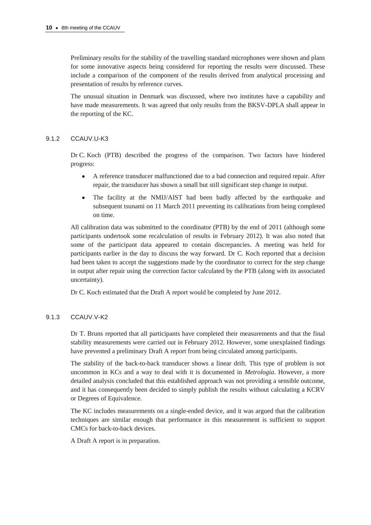Preliminary results for the stability of the travelling standard microphones were shown and plans for some innovative aspects being considered for reporting the results were discussed. These include a comparison of the component of the results derived from analytical processing and presentation of results by reference curves.

The unusual situation in Denmark was discussed, where two institutes have a capability and have made measurements. It was agreed that only results from the BKSV-DPLA shall appear in the reporting of the KC.

## 9.1.2 CCAUV.U-K3

Dr C. Koch (PTB) described the progress of the comparison. Two factors have hindered progress:

- A reference transducer malfunctioned due to a bad connection and required repair. After  $\bullet$ repair, the transducer has shown a small but still significant step change in output.
- $\bullet$ The facility at the NMIJ/AIST had been badly affected by the earthquake and subsequent tsunami on 11 March 2011 preventing its calibrations from being completed on time.

All calibration data was submitted to the coordinator (PTB) by the end of 2011 (although some participants undertook some recalculation of results in February 2012). It was also noted that some of the participant data appeared to contain discrepancies. A meeting was held for participants earlier in the day to discuss the way forward. Dr C. Koch reported that a decision had been taken to accept the suggestions made by the coordinator to correct for the step change in output after repair using the correction factor calculated by the PTB (along with its associated uncertainty).

Dr C. Koch estimated that the Draft A report would be completed by June 2012.

## 9.1.3 CCAUV.V-K2

Dr T. Bruns reported that all participants have completed their measurements and that the final stability measurements were carried out in February 2012. However, some unexplained findings have prevented a preliminary Draft A report from being circulated among participants.

The stability of the back-to-back transducer shows a linear drift. This type of problem is not uncommon in KCs and a way to deal with it is documented in *Metrologia*. However, a more detailed analysis concluded that this established approach was not providing a sensible outcome, and it has consequently been decided to simply publish the results without calculating a KCRV or Degrees of Equivalence.

The KC includes measurements on a single-ended device, and it was argued that the calibration techniques are similar enough that performance in this measurement is sufficient to support CMCs for back-to-back devices.

A Draft A report is in preparation.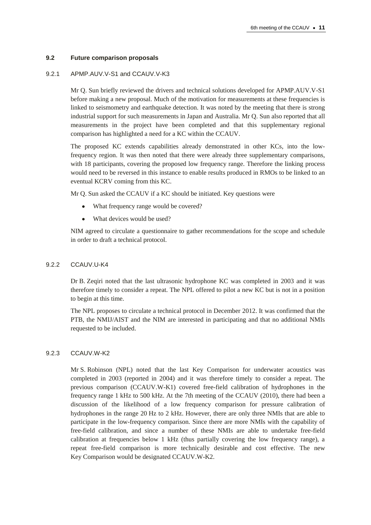#### **9.2 Future comparison proposals**

#### 9.2.1 APMP.AUV.V-S1 and CCAUV.V-K3

Mr Q. Sun briefly reviewed the drivers and technical solutions developed for APMP.AUV.V-S1 before making a new proposal. Much of the motivation for measurements at these frequencies is linked to seismometry and earthquake detection. It was noted by the meeting that there is strong industrial support for such measurements in Japan and Australia. Mr Q. Sun also reported that all measurements in the project have been completed and that this supplementary regional comparison has highlighted a need for a KC within the CCAUV.

The proposed KC extends capabilities already demonstrated in other KCs, into the lowfrequency region. It was then noted that there were already three supplementary comparisons, with 18 participants, covering the proposed low frequency range. Therefore the linking process would need to be reversed in this instance to enable results produced in RMOs to be linked to an eventual KCRV coming from this KC.

Mr Q. Sun asked the CCAUV if a KC should be initiated. Key questions were

- What frequency range would be covered?
- $\bullet$ What devices would be used?

NIM agreed to circulate a questionnaire to gather recommendations for the scope and schedule in order to draft a technical protocol.

#### 9.2.2 CCAUV.U-K4

Dr B. Zeqiri noted that the last ultrasonic hydrophone KC was completed in 2003 and it was therefore timely to consider a repeat. The NPL offered to pilot a new KC but is not in a position to begin at this time.

The NPL proposes to circulate a technical protocol in December 2012. It was confirmed that the PTB, the NMIJ/AIST and the NIM are interested in participating and that no additional NMIs requested to be included.

#### 9.2.3 CCAUV.W-K2

Mr S. Robinson (NPL) noted that the last Key Comparison for underwater acoustics was completed in 2003 (reported in 2004) and it was therefore timely to consider a repeat. The previous comparison (CCAUV.W-K1) covered free-field calibration of hydrophones in the frequency range 1 kHz to 500 kHz. At the 7th meeting of the CCAUV (2010), there had been a discussion of the likelihood of a low frequency comparison for pressure calibration of hydrophones in the range 20 Hz to 2 kHz. However, there are only three NMIs that are able to participate in the low-frequency comparison. Since there are more NMIs with the capability of free-field calibration, and since a number of these NMIs are able to undertake free-field calibration at frequencies below 1 kHz (thus partially covering the low frequency range), a repeat free-field comparison is more technically desirable and cost effective. The new Key Comparison would be designated CCAUV.W-K2.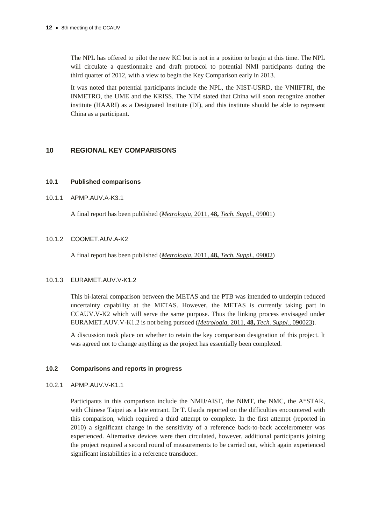The NPL has offered to pilot the new KC but is not in a position to begin at this time. The NPL will circulate a questionnaire and draft protocol to potential NMI participants during the third quarter of 2012, with a view to begin the Key Comparison early in 2013.

It was noted that potential participants include the NPL, the NIST-USRD, the VNIIFTRI, the INMETRO, the UME and the KRISS. The NIM stated that China will soon recognize another institute (HAARI) as a Designated Institute (DI), and this institute should be able to represent China as a participant.

# **10 REGIONAL KEY COMPARISONS**

## **10.1 Published comparisons**

#### 10.1.1 APMP.AUV.A-K3.1

A final report has been published (*Metrologia,* 2011, **48,** *[Tech. Suppl.,](http://iopscience.iop.org/0026-1394/48/1A/09001/)* 09001)

## 10.1.2 COOMET.AUV.A-K2

A final report has been published (*Metrologia,* 2011, **48,** *[Tech. Suppl.,](http://iopscience.iop.org/0026-1394/48/1A/09002)* 09002)

## 10.1.3 EURAMET.AUV.V-K1.2

This bi-lateral comparison between the METAS and the PTB was intended to underpin reduced uncertainty capability at the METAS. However, the METAS is currently taking part in CCAUV.V-K2 which will serve the same purpose. Thus the linking process envisaged under EURAMET.AUV.V-K1.2 is not being pursued (*Metrologia,* 2011, **48,** *[Tech. Suppl.,](http://iopscience.iop.org/0026-1394/48/1A/09003/)* 090023).

A discussion took place on whether to retain the key comparison designation of this project. It was agreed not to change anything as the project has essentially been completed.

## **10.2 Comparisons and reports in progress**

10.2.1 APMP.AUV.V-K1.1

Participants in this comparison include the NMIJ/AIST, the NIMT, the NMC, the A\*STAR, with Chinese Taipei as a late entrant. Dr T. Usuda reported on the difficulties encountered with this comparison, which required a third attempt to complete. In the first attempt (reported in 2010) a significant change in the sensitivity of a reference back-to-back accelerometer was experienced. Alternative devices were then circulated, however, additional participants joining the project required a second round of measurements to be carried out, which again experienced significant instabilities in a reference transducer.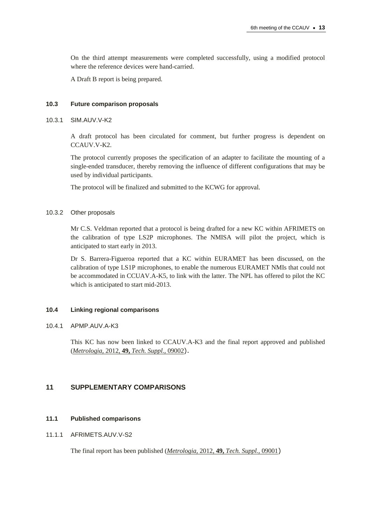On the third attempt measurements were completed successfully, using a modified protocol where the reference devices were hand-carried.

A Draft B report is being prepared.

#### **10.3 Future comparison proposals**

#### 10.3.1 SIM.AUV.V-K2

A draft protocol has been circulated for comment, but further progress is dependent on CCAUV.V-K2.

The protocol currently proposes the specification of an adapter to facilitate the mounting of a single-ended transducer, thereby removing the influence of different configurations that may be used by individual participants.

The protocol will be finalized and submitted to the KCWG for approval.

#### 10.3.2 Other proposals

Mr C.S. Veldman reported that a protocol is being drafted for a new KC within AFRIMETS on the calibration of type LS2P microphones. The NMISA will pilot the project, which is anticipated to start early in 2013.

Dr S. Barrera-Figueroa reported that a KC within EURAMET has been discussed, on the calibration of type LS1P microphones, to enable the numerous EURAMET NMIs that could not be accommodated in CCUAV.A-K5, to link with the latter. The NPL has offered to pilot the KC which is anticipated to start mid-2013.

#### **10.4 Linking regional comparisons**

#### 10.4.1 APMP.AUV.A-K3

This KC has now been linked to CCAUV.A-K3 and the final report approved and published (*Metrologia,* 2012, **49,** *[Tech. Suppl.,](http://iopscience.iop.org/0026-1394/49/1A/09002/)* 09002).

# **11 SUPPLEMENTARY COMPARISONS**

#### **11.1 Published comparisons**

## 11.1.1 AFRIMETS.AUV.V-S2

The final report has been published (*Metrologia,* 2012, **49,** *[Tech. Suppl.,](http://iopscience.iop.org/0026-1394/49/1A/09001/)* 09001)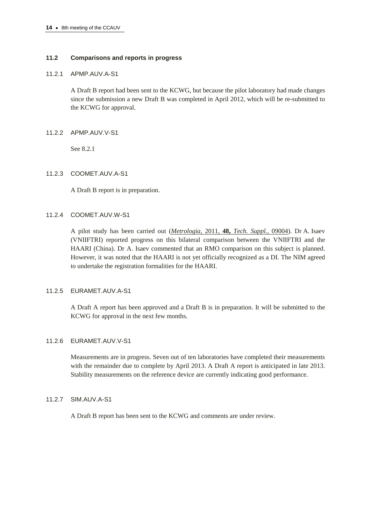## **11.2 Comparisons and reports in progress**

#### 11.2.1 APMP.AUV.A-S1

A Draft B report had been sent to the KCWG, but because the pilot laboratory had made changes since the submission a new Draft B was completed in April 2012, which will be re-submitted to the KCWG for approval.

## 11.2.2 APMP.AUV.V-S1

See 8.2.1

#### 11.2.3 COOMET.AUV.A-S1

A Draft B report is in preparation.

## 11.2.4 COOMET.AUV.W-S1

A pilot study has been carried out (*Metrologia,* 2011, **48,** *[Tech. Suppl.,](http://iopscience.iop.org/0026-1394/48/1A/09004/)* 09004). Dr A. Isaev (VNIIFTRI) reported progress on this bilateral comparison between the VNIIFTRI and the HAARI (China). Dr A. Isaev commented that an RMO comparison on this subject is planned. However, it was noted that the HAARI is not yet officially recognized as a DI. The NIM agreed to undertake the registration formalities for the HAARI.

## 11.2.5 EURAMET.AUV.A-S1

A Draft A report has been approved and a Draft B is in preparation. It will be submitted to the KCWG for approval in the next few months.

## 11.2.6 EURAMET.AUV.V-S1

Measurements are in progress. Seven out of ten laboratories have completed their measurements with the remainder due to complete by April 2013. A Draft A report is anticipated in late 2013. Stability measurements on the reference device are currently indicating good performance.

## 11.2.7 SIM.AUV.A-S1

A Draft B report has been sent to the KCWG and comments are under review.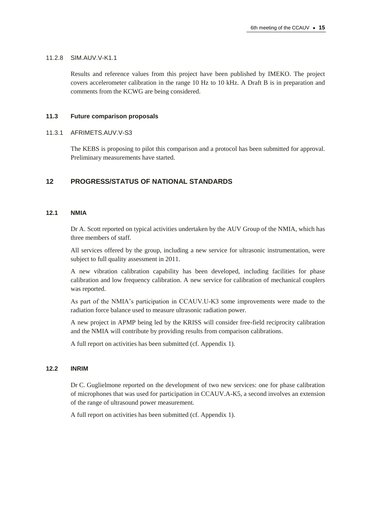#### 11.2.8 SIM.AUV.V-K1.1

Results and reference values from this project have been published by IMEKO. The project covers accelerometer calibration in the range 10 Hz to 10 kHz. A Draft B is in preparation and comments from the KCWG are being considered.

## **11.3 Future comparison proposals**

#### 11.3.1 AFRIMETS.AUV.V-S3

The KEBS is proposing to pilot this comparison and a protocol has been submitted for approval. Preliminary measurements have started.

# **12 PROGRESS/STATUS OF NATIONAL STANDARDS**

## **12.1 NMIA**

Dr A. Scott reported on typical activities undertaken by the AUV Group of the NMIA, which has three members of staff.

All services offered by the group, including a new service for ultrasonic instrumentation, were subject to full quality assessment in 2011.

A new vibration calibration capability has been developed, including facilities for phase calibration and low frequency calibration. A new service for calibration of mechanical couplers was reported.

As part of the NMIA's participation in CCAUV.U-K3 some improvements were made to the radiation force balance used to measure ultrasonic radiation power.

A new project in APMP being led by the KRISS will consider free-field reciprocity calibration and the NMIA will contribute by providing results from comparison calibrations.

A full report on activities has been submitted (cf. Appendix 1).

## **12.2 INRIM**

Dr C. Guglielmone reported on the development of two new services: one for phase calibration of microphones that was used for participation in CCAUV.A-K5, a second involves an extension of the range of ultrasound power measurement.

A full report on activities has been submitted (cf. Appendix 1).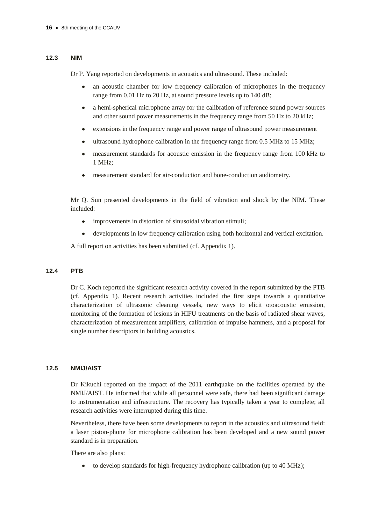#### **12.3 NIM**

Dr P. Yang reported on developments in acoustics and ultrasound. These included:

- $\bullet$ an acoustic chamber for low frequency calibration of microphones in the frequency range from 0.01 Hz to 20 Hz, at sound pressure levels up to 140 dB;
- a hemi-spherical microphone array for the calibration of reference sound power sources and other sound power measurements in the frequency range from 50 Hz to 20 kHz;
- extensions in the frequency range and power range of ultrasound power measurement
- ultrasound hydrophone calibration in the frequency range from 0.5 MHz to 15 MHz;
- measurement standards for acoustic emission in the frequency range from 100 kHz to 1 MHz;
- measurement standard for air-conduction and bone-conduction audiometry.

Mr Q. Sun presented developments in the field of vibration and shock by the NIM. These included:

- improvements in distortion of sinusoidal vibration stimuli;  $\bullet$
- $\bullet$ developments in low frequency calibration using both horizontal and vertical excitation.

A full report on activities has been submitted (cf. Appendix 1).

#### **12.4 PTB**

Dr C. Koch reported the significant research activity covered in the report submitted by the PTB (cf. Appendix 1). Recent research activities included the first steps towards a quantitative characterization of ultrasonic cleaning vessels, new ways to elicit otoacoustic emission, monitoring of the formation of lesions in HIFU treatments on the basis of radiated shear waves, characterization of measurement amplifiers, calibration of impulse hammers, and a proposal for single number descriptors in building acoustics.

#### **12.5 NMIJ/AIST**

Dr Kikuchi reported on the impact of the 2011 earthquake on the facilities operated by the NMIJ/AIST. He informed that while all personnel were safe, there had been significant damage to instrumentation and infrastructure. The recovery has typically taken a year to complete; all research activities were interrupted during this time.

Nevertheless, there have been some developments to report in the acoustics and ultrasound field: a laser piston-phone for microphone calibration has been developed and a new sound power standard is in preparation.

There are also plans:

to develop standards for high-frequency hydrophone calibration (up to 40 MHz); $\bullet$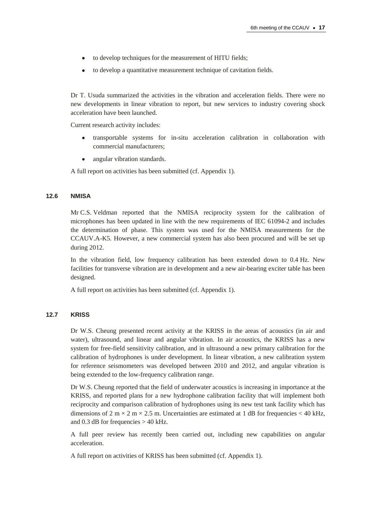- to develop techniques for the measurement of HITU fields;  $\bullet$
- $\bullet$ to develop a quantitative measurement technique of cavitation fields.

Dr T. Usuda summarized the activities in the vibration and acceleration fields. There were no new developments in linear vibration to report, but new services to industry covering shock acceleration have been launched.

Current research activity includes:

- transportable systems for in-situ acceleration calibration in collaboration with commercial manufacturers;
- angular vibration standards.  $\bullet$

A full report on activities has been submitted (cf. Appendix 1).

#### **12.6 NMISA**

Mr C.S. Veldman reported that the NMISA reciprocity system for the calibration of microphones has been updated in line with the new requirements of IEC 61094-2 and includes the determination of phase. This system was used for the NMISA measurements for the CCAUV.A-K5. However, a new commercial system has also been procured and will be set up during 2012.

In the vibration field, low frequency calibration has been extended down to 0.4 Hz. New facilities for transverse vibration are in development and a new air-bearing exciter table has been designed.

A full report on activities has been submitted (cf. Appendix 1).

#### **12.7 KRISS**

Dr W.S. Cheung presented recent activity at the KRISS in the areas of acoustics (in air and water), ultrasound, and linear and angular vibration. In air acoustics, the KRISS has a new system for free-field sensitivity calibration, and in ultrasound a new primary calibration for the calibration of hydrophones is under development. In linear vibration, a new calibration system for reference seismometers was developed between 2010 and 2012, and angular vibration is being extended to the low-frequency calibration range.

Dr W.S. Cheung reported that the field of underwater acoustics is increasing in importance at the KRISS, and reported plans for a new hydrophone calibration facility that will implement both reciprocity and comparison calibration of hydrophones using its new test tank facility which has dimensions of 2 m  $\times$  2 m  $\times$  2.5 m. Uncertainties are estimated at 1 dB for frequencies  $<$  40 kHz, and 0.3 dB for frequencies  $> 40$  kHz.

A full peer review has recently been carried out, including new capabilities on angular acceleration.

A full report on activities of KRISS has been submitted (cf. Appendix 1).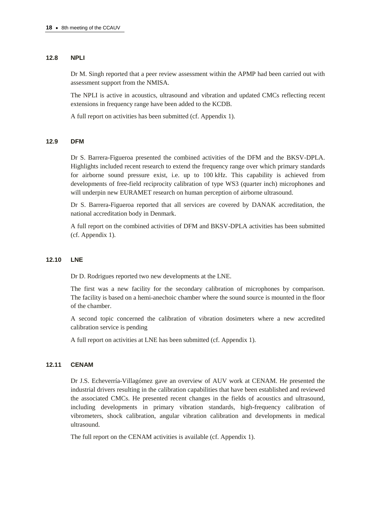#### **12.8 NPLI**

Dr M. Singh reported that a peer review assessment within the APMP had been carried out with assessment support from the NMISA.

The NPLI is active in acoustics, ultrasound and vibration and updated CMCs reflecting recent extensions in frequency range have been added to the KCDB.

A full report on activities has been submitted (cf. Appendix 1).

## **12.9 DFM**

Dr S. Barrera-Figueroa presented the combined activities of the DFM and the BKSV-DPLA. Highlights included recent research to extend the frequency range over which primary standards for airborne sound pressure exist, i.e. up to 100 kHz. This capability is achieved from developments of free-field reciprocity calibration of type WS3 (quarter inch) microphones and will underpin new EURAMET research on human perception of airborne ultrasound.

Dr S. Barrera-Figueroa reported that all services are covered by DANAK accreditation, the national accreditation body in Denmark.

A full report on the combined activities of DFM and BKSV-DPLA activities has been submitted (cf. Appendix 1).

#### **12.10 LNE**

Dr D. Rodrigues reported two new developments at the LNE.

The first was a new facility for the secondary calibration of microphones by comparison. The facility is based on a hemi-anechoic chamber where the sound source is mounted in the floor of the chamber.

A second topic concerned the calibration of vibration dosimeters where a new accredited calibration service is pending

A full report on activities at LNE has been submitted (cf. Appendix 1).

## **12.11 CENAM**

Dr J.S. Echeverría-Villagómez gave an overview of AUV work at CENAM. He presented the industrial drivers resulting in the calibration capabilities that have been established and reviewed the associated CMCs. He presented recent changes in the fields of acoustics and ultrasound, including developments in primary vibration standards, high-frequency calibration of vibrometers, shock calibration, angular vibration calibration and developments in medical ultrasound.

The full report on the CENAM activities is available (cf. Appendix 1).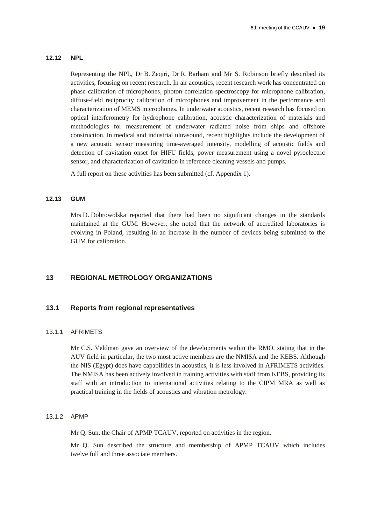#### **12.12 NPL**

Representing the NPL, Dr B. Zeqiri, Dr R. Barham and Mr S. Robinson briefly described its activities, focusing on recent research. In air acoustics, recent research work has concentrated on phase calibration of microphones, photon correlation spectroscopy for microphone calibration, diffuse-field reciprocity calibration of microphones and improvement in the performance and characterization of MEMS microphones. In underwater acoustics, recent research has focused on optical interferometry for hydrophone calibration, acoustic characterization of materials and methodologies for measurement of underwater radiated noise from ships and offshore construction. In medical and industrial ultrasound, recent highlights include the development of a new acoustic sensor measuring time-averaged intensity, modelling of acoustic fields and detection of cavitation onset for HIFU fields, power measurement using a novel pyroelectric sensor, and characterization of cavitation in reference cleaning vessels and pumps.

A full report on these activities has been submitted (cf. Appendix 1).

#### **12.13 GUM**

Mrs D. Dobrowolska reported that there had been no significant changes in the standards maintained at the GUM. However, she noted that the network of accredited laboratories is evolving in Poland, resulting in an increase in the number of devices being submitted to the GUM for calibration.

# **13 REGIONAL METROLOGY ORGANIZATIONS**

#### **13.1 Reports from regional representatives**

#### 13.1.1 AFRIMETS

Mr C.S. Veldman gave an overview of the developments within the RMO, stating that in the AUV field in particular, the two most active members are the NMISA and the KEBS. Although the NIS (Egypt) does have capabilities in acoustics, it is less involved in AFRIMETS activities. The NMISA has been actively involved in training activities with staff from KEBS, providing its staff with an introduction to international activities relating to the CIPM MRA as well as practical training in the fields of acoustics and vibration metrology.

#### 13.1.2 APMP

Mr Q. Sun, the Chair of APMP TCAUV, reported on activities in the region.

Mr Q. Sun described the structure and membership of APMP TCAUV which includes twelve full and three associate members.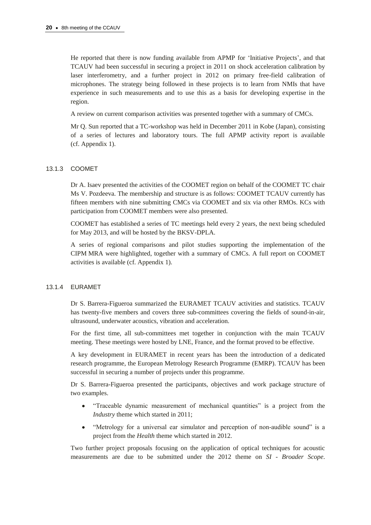He reported that there is now funding available from APMP for 'Initiative Projects', and that TCAUV had been successful in securing a project in 2011 on shock acceleration calibration by laser interferometry, and a further project in 2012 on primary free-field calibration of microphones. The strategy being followed in these projects is to learn from NMIs that have experience in such measurements and to use this as a basis for developing expertise in the region.

A review on current comparison activities was presented together with a summary of CMCs.

Mr Q. Sun reported that a TC-workshop was held in December 2011 in Kobe (Japan), consisting of a series of lectures and laboratory tours. The full APMP activity report is available (cf. Appendix 1).

## 13.1.3 COOMET

Dr A. Isaev presented the activities of the COOMET region on behalf of the COOMET TC chair Ms V. Pozdeeva. The membership and structure is as follows: COOMET TCAUV currently has fifteen members with nine submitting CMCs via COOMET and six via other RMOs. KCs with participation from COOMET members were also presented.

COOMET has established a series of TC meetings held every 2 years, the next being scheduled for May 2013, and will be hosted by the BKSV-DPLA.

A series of regional comparisons and pilot studies supporting the implementation of the CIPM MRA were highlighted, together with a summary of CMCs. A full report on COOMET activities is available (cf. Appendix 1).

## 13.1.4 EURAMET

Dr S. Barrera-Figueroa summarized the EURAMET TCAUV activities and statistics. TCAUV has twenty-five members and covers three sub-committees covering the fields of sound-in-air, ultrasound, underwater acoustics, vibration and acceleration.

For the first time, all sub-committees met together in conjunction with the main TCAUV meeting. These meetings were hosted by LNE, France, and the format proved to be effective.

A key development in EURAMET in recent years has been the introduction of a dedicated research programme, the European Metrology Research Programme (EMRP). TCAUV has been successful in securing a number of projects under this programme.

Dr S. Barrera-Figueroa presented the participants, objectives and work package structure of two examples.

- $\bullet$ "Traceable dynamic measurement of mechanical quantities" is a project from the *Industry* theme which started in 2011;
- "Metrology for a universal ear simulator and perception of non-audible sound" is a  $\bullet$ project from the *Health* theme which started in 2012.

Two further project proposals focusing on the application of optical techniques for acoustic measurements are due to be submitted under the 2012 theme on *SI - Broader Scope*.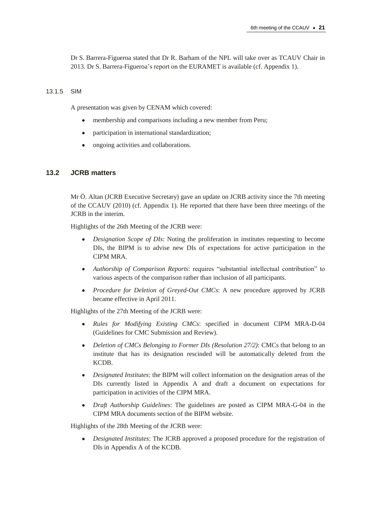Dr S. Barrera-Figueroa stated that Dr R. Barham of the NPL will take over as TCAUV Chair in 2013. Dr S. Barrera-Figueroa's report on the EURAMET is available (cf. Appendix 1).

## 13.1.5 SIM

A presentation was given by CENAM which covered:

- membership and comparisons including a new member from Peru;
- participation in international standardization;
- ongoing activities and collaborations.

## **13.2 JCRB matters**

Mr Ö. Altan (JCRB Executive Secretary) gave an update on JCRB activity since the 7th meeting of the CCAUV (2010) (cf. Appendix 1). He reported that there have been three meetings of the JCRB in the interim.

Highlights of the 26th Meeting of the JCRB were:

- *Designation Scope of DIs*: Noting the proliferation in institutes requesting to become  $\bullet$ DIs, the BIPM is to advise new DIs of expectations for active participation in the CIPM MRA.
- *Authorship of Comparison Reports*: requires "substantial intellectual contribution" to various aspects of the comparison rather than inclusion of all participants.
- *Procedure for Deletion of Greyed-Out CMCs*: A new procedure approved by JCRB became effective in April 2011.

Highlights of the 27th Meeting of the JCRB were:

- *Rules for Modifying Existing CMCs*: specified in document CIPM MRA-D-04  $\bullet$ (Guidelines for CMC Submission and Review).
- *Deletion of CMCs Belonging to Former DIs (Resolution 27/2)*: CMCs that belong to an  $\bullet$ institute that has its designation rescinded will be automatically deleted from the KCDB.
- *Designated Institutes*: the BIPM will collect information on the designation areas of the  $\bullet$ DIs currently listed in Appendix A and draft a document on expectations for participation in activities of the CIPM MRA.
- $\bullet$ *Draft Authorship Guidelines*: The guidelines are posted as CIPM MRA-G-04 in the CIPM MRA documents section of the BIPM website.

Highlights of the 28th Meeting of the JCRB were:

*Designated Institutes*: The JCRB approved a proposed procedure for the registration of DIs in Appendix A of the KCDB.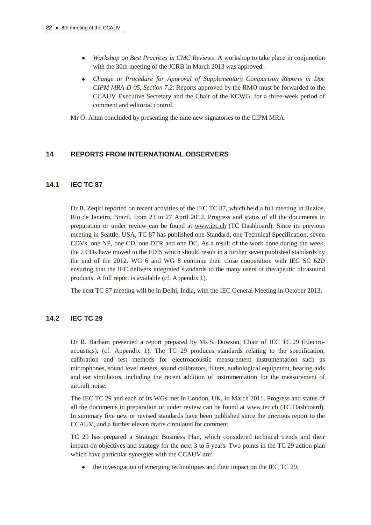- *Workshop on Best Practices in CMC Reviews*: A workshop to take place in conjunction with the 30th meeting of the JCRB in March 2013 was approved.
- *Change in Procedure for Approval of Supplementary Comparison Reports in Doc CIPM MRA-D-05, Section 7.2*: Reports approved by the RMO must be forwarded to the CCAUV Executive Secretary and the Chair of the KCWG, for a three-week period of comment and editorial control.

Mr Ö. Altan concluded by presenting the nine new signatories to the CIPM MRA.

# **14 REPORTS FROM INTERNATIONAL OBSERVERS**

# **14.1 IEC TC 87**

Dr B. Zeqiri reported on recent activities of the IEC TC 87, which held a full meeting in Buzios, Rio de Janeiro, Brazil, from 23 to 27 April 2012. Progress and status of all the documents in preparation or under review can be found at [www.iec.ch](http://www.iec.ch/) (TC Dashboard). Since its previous meeting in Seattle, USA, TC 87 has published one Standard, one Technical Specification, seven CDVs, one NP, one CD, one DTR and one DC. As a result of the work done during the week, the 7 CDs have moved to the FDIS which should result in a further seven published standards by the end of the 2012. WG 6 and WG 8 continue their close cooperation with IEC SC 62D ensuring that the IEC delivers integrated standards to the many users of therapeutic ultrasound products. A full report is available (cf. Appendix 1).

The next TC 87 meeting will be in Delhi, India, with the IEC General Meeting in October 2013.

# **14.2 IEC TC 29**

Dr R. Barham presented a report prepared by Ms S. Dowson, Chair of IEC TC 29 (Electroacoustics), (cf. Appendix 1). The TC 29 produces standards relating to the specification, calibration and test methods for electroacoustic measurement instrumentation such as microphones, sound level meters, sound calibrators, filters, audiological equipment, hearing aids and ear simulators, including the recent addition of instrumentation for the measurement of aircraft noise.

The IEC TC 29 and each of its WGs met in London, UK, in March 2011. Progress and status of all the documents in preparation or under review can be found at [www.iec.ch](http://www.iec.ch/) (TC Dashboard). In summary five new or revised standards have been published since the previous report to the CCAUV, and a further eleven drafts circulated for comment.

TC 29 has prepared a Strategic Business Plan, which considered technical trends and their impact on objectives and strategy for the next 3 to 5 years. Two points in the TC 29 action plan which have particular synergies with the CCAUV are:

the investigation of emerging technologies and their impact on the IEC TC 29;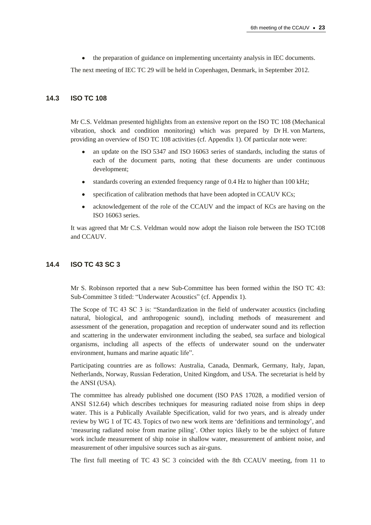$\bullet$ the preparation of guidance on implementing uncertainty analysis in IEC documents.

The next meeting of IEC TC 29 will be held in Copenhagen, Denmark, in September 2012.

## **14.3 ISO TC 108**

Mr C.S. Veldman presented highlights from an extensive report on the ISO TC 108 (Mechanical vibration, shock and condition monitoring) which was prepared by Dr H. von Martens, providing an overview of ISO TC 108 activities (cf. Appendix 1). Of particular note were:

- an update on the ISO 5347 and ISO 16063 series of standards, including the status of each of the document parts, noting that these documents are under continuous development;
- standards covering an extended frequency range of 0.4 Hz to higher than 100 kHz;
- specification of calibration methods that have been adopted in CCAUV KCs;
- acknowledgement of the role of the CCAUV and the impact of KCs are having on the  $\bullet$ ISO 16063 series.

It was agreed that Mr C.S. Veldman would now adopt the liaison role between the ISO TC108 and CCAUV.

## **14.4 ISO TC 43 SC 3**

Mr S. Robinson reported that a new Sub-Committee has been formed within the ISO TC 43: Sub-Committee 3 titled: "Underwater Acoustics" (cf. Appendix 1).

The Scope of TC 43 SC 3 is: "Standardization in the field of underwater acoustics (including natural, biological, and anthropogenic sound), including methods of measurement and assessment of the generation, propagation and reception of underwater sound and its reflection and scattering in the underwater environment including the seabed, sea surface and biological organisms, including all aspects of the effects of underwater sound on the underwater environment, humans and marine aquatic life".

Participating countries are as follows: Australia, Canada, Denmark, Germany, Italy, Japan, Netherlands, Norway, Russian Federation, United Kingdom, and USA. The secretariat is held by the ANSI (USA).

The committee has already published one document (ISO PAS 17028, a modified version of ANSI S12.64) which describes techniques for measuring radiated noise from ships in deep water. This is a Publically Available Specification, valid for two years, and is already under review by WG 1 of TC 43. Topics of two new work items are 'definitions and terminology', and 'measuring radiated noise from marine piling'. Other topics likely to be the subject of future work include measurement of ship noise in shallow water, measurement of ambient noise, and measurement of other impulsive sources such as air-guns.

The first full meeting of TC 43 SC 3 coincided with the 8th CCAUV meeting, from 11 to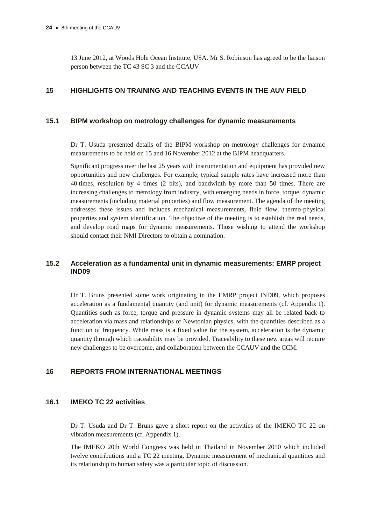13 June 2012, at Woods Hole Ocean Institute, USA. Mr S. Robinson has agreed to be the liaison person between the TC 43 SC 3 and the CCAUV.

# **15 HIGHLIGHTS ON TRAINING AND TEACHING EVENTS IN THE AUV FIELD**

## **15.1 BIPM workshop on metrology challenges for dynamic measurements**

Dr T. Usuda presented details of the BIPM workshop on metrology challenges for dynamic measurements to be held on 15 and 16 November 2012 at the BIPM headquarters.

Significant progress over the last 25 years with instrumentation and equipment has provided new opportunities and new challenges. For example, typical sample rates have increased more than 40 times, resolution by 4 times (2 bits), and bandwidth by more than 50 times. There are increasing challenges to metrology from industry, with emerging needs in force, torque, dynamic measurements (including material properties) and flow measurement. The agenda of the meeting addresses these issues and includes mechanical measurements, fluid flow, thermo-physical properties and system identification. The objective of the meeting is to establish the real needs, and develop road maps for dynamic measurements. Those wishing to attend the workshop should contact their NMI Directors to obtain a nomination.

# **15.2 Acceleration as a fundamental unit in dynamic measurements: EMRP project IND09**

Dr T. Bruns presented some work originating in the EMRP project IND09, which proposes acceleration as a fundamental quantity (and unit) for dynamic measurements (cf. Appendix 1). Quantities such as force, torque and pressure in dynamic systems may all be related back to acceleration via mass and relationships of Newtonian physics, with the quantities described as a function of frequency. While mass is a fixed value for the system, acceleration is the dynamic quantity through which traceability may be provided. Traceability to these new areas will require new challenges to be overcome, and collaboration between the CCAUV and the CCM.

# **16 REPORTS FROM INTERNATIONAL MEETINGS**

## **16.1 IMEKO TC 22 activities**

Dr T. Usuda and Dr T. Bruns gave a short report on the activities of the IMEKO TC 22 on vibration measurements (cf. Appendix 1).

The IMEKO 20th World Congress was held in Thailand in November 2010 which included twelve contributions and a TC 22 meeting. Dynamic measurement of mechanical quantities and its relationship to human safety was a particular topic of discussion.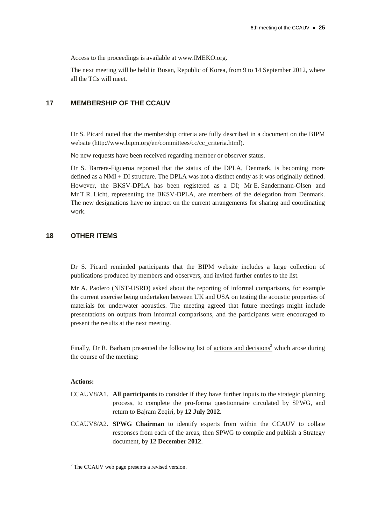Access to the proceedings is available a[t www.IMEKO.org.](http://www.imeko.org/)

The next meeting will be held in Busan, Republic of Korea, from 9 to 14 September 2012, where all the TCs will meet.

## **17 MEMBERSHIP OF THE CCAUV**

Dr S. Picard noted that the membership criteria are fully described in a document on the BIPM website [\(http://www.bipm.org/en/committees/cc/cc\\_criteria.html\)](http://www.bipm.org/en/committees/cc/cc_criteria.html).

No new requests have been received regarding member or observer status.

Dr S. Barrera-Figueroa reported that the status of the DPLA, Denmark, is becoming more defined as a NMI + DI structure. The DPLA was not a distinct entity as it was originally defined. However, the BKSV-DPLA has been registered as a DI; Mr E. Sandermann-Olsen and Mr T.R. Licht, representing the BKSV-DPLA, are members of the delegation from Denmark. The new designations have no impact on the current arrangements for sharing and coordinating work.

# **18 OTHER ITEMS**

Dr S. Picard reminded participants that the BIPM website includes a large collection of publications produced by members and observers, and invited further entries to the list.

Mr A. Paolero (NIST-USRD) asked about the reporting of informal comparisons, for example the current exercise being undertaken between UK and USA on testing the acoustic properties of materials for underwater acoustics. The meeting agreed that future meetings might include presentations on outputs from informal comparisons, and the participants were encouraged to present the results at the next meeting.

Finally, Dr R. Barham presented the following list of [actions and decisions](http://www.bipm.org/cc/CCAUV/Allowed/Summary_reports/CCAUV-8_actions_and_decisions_Final_RS_SP.pdf)<sup>2</sup> which arose during the course of the meeting:

#### **Actions:**

 $\overline{a}$ 

- CCAUV8/A1. **All participants** to consider if they have further inputs to the strategic planning process, to complete the pro-forma questionnaire circulated by SPWG, and return to Bajram Zeqiri, by **12 July 2012.**
- CCAUV8/A2. **SPWG Chairman** to identify experts from within the CCAUV to collate responses from each of the areas, then SPWG to compile and publish a Strategy document, by **12 December 2012**.

<sup>&</sup>lt;sup>2</sup> The CCAUV web page presents a revised version.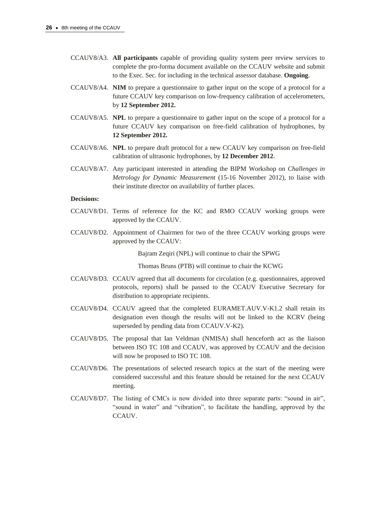- CCAUV8/A3. **All participants** capable of providing quality system peer review services to complete the pro-forma document available on the CCAUV website and submit to the Exec. Sec. for including in the technical assessor database. **Ongoing**.
- CCAUV8/A4. **NIM** to prepare a questionnaire to gather input on the scope of a protocol for a future CCAUV key comparison on low-frequency calibration of accelerometers, by **12 September 2012.**
- CCAUV8/A5. **NPL** to prepare a questionnaire to gather input on the scope of a protocol for a future CCAUV key comparison on free-field calibration of hydrophones, by **12 September 2012.**
- CCAUV8/A6. **NPL** to prepare draft protocol for a new CCAUV key comparison on free-field calibration of ultrasonic hydrophones, by **12 December 2012**.
- CCAUV8/A7. Any participant interested in attending the BIPM Workshop on *Challenges in Metrology for Dynamic Measurement* (15-16 November 2012), to liaise with their institute director on availability of further places.

#### **Decisions:**

- CCAUV8/D1. Terms of reference for the KC and RMO CCAUV working groups were approved by the CCAUV.
- CCAUV8/D2. Appointment of Chairmen for two of the three CCAUV working groups were approved by the CCAUV:

Bajram Zeqiri (NPL) will continue to chair the SPWG

Thomas Bruns (PTB) will continue to chair the KCWG

- CCAUV8/D3. CCAUV agreed that all documents for circulation (e.g. questionnaires, approved protocols, reports) shall be passed to the CCAUV Executive Secretary for distribution to appropriate recipients.
- CCAUV8/D4. CCAUV agreed that the completed EURAMET.AUV.V-K1.2 shall retain its designation even though the results will not be linked to the KCRV (being superseded by pending data from CCAUV.V-K2).
- CCAUV8/D5. The proposal that Ian Veldman (NMISA) shall henceforth act as the liaison between ISO TC 108 and CCAUV, was approved by CCAUV and the decision will now be proposed to ISO TC 108.
- CCAUV8/D6. The presentations of selected research topics at the start of the meeting were considered successful and this feature should be retained for the next CCAUV meeting.
- CCAUV8/D7. The listing of CMCs is now divided into three separate parts: "sound in air", "sound in water" and "vibration", to facilitate the handling, approved by the CCAUV.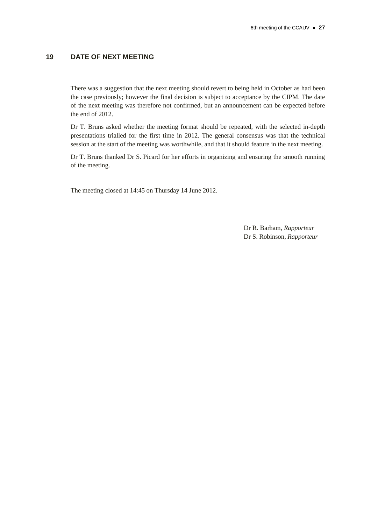# **19 DATE OF NEXT MEETING**

There was a suggestion that the next meeting should revert to being held in October as had been the case previously; however the final decision is subject to acceptance by the CIPM. The date of the next meeting was therefore not confirmed, but an announcement can be expected before the end of 2012.

Dr T. Bruns asked whether the meeting format should be repeated, with the selected in-depth presentations trialled for the first time in 2012. The general consensus was that the technical session at the start of the meeting was worthwhile, and that it should feature in the next meeting.

Dr T. Bruns thanked Dr S. Picard for her efforts in organizing and ensuring the smooth running of the meeting.

The meeting closed at 14:45 on Thursday 14 June 2012.

Dr R. Barham, *Rapporteur* Dr S. Robinson, *Rapporteur*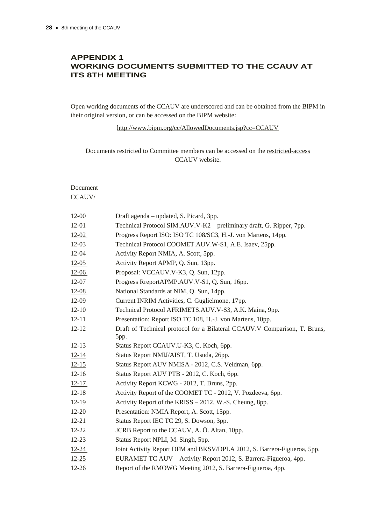# **APPENDIX 1 WORKING DOCUMENTS SUBMITTED TO THE CCAUV AT ITS 8TH MEETING**

Open working documents of the CCAUV are underscored and can be obtained from the BIPM in their original version, or can be accessed on the BIPM website:

<http://www.bipm.org/cc/AllowedDocuments.jsp?cc=CCAUV>

Documents restricted to Committee members can be accessed on the [restricted-access](http://www.bipm.org/cc/CCAUV/Restricted/WorkingDocuments.jsp) CCAUV website.

Document CCAUV/

| $12 - 00$ | Draft agenda – updated, S. Picard, 3pp.                                           |
|-----------|-----------------------------------------------------------------------------------|
| 12-01     | Technical Protocol SIM.AUV.V-K2 – preliminary draft, G. Ripper, 7pp.              |
| $12 - 02$ | Progress Report ISO: ISO TC 108/SC3, H.-J. von Martens, 14pp.                     |
| $12-03$   | Technical Protocol COOMET.AUV.W-S1, A.E. Isaev, 25pp.                             |
| 12-04     | Activity Report NMIA, A. Scott, 5pp.                                              |
| $12 - 05$ | Activity Report APMP, Q. Sun, 13pp.                                               |
| $12 - 06$ | Proposal: VCCAUV.V-K3, Q. Sun, 12pp.                                              |
| $12-07$   | Progress RreportAPMP.AUV.V-S1, Q. Sun, 16pp.                                      |
| $12 - 08$ | National Standards at NIM, Q. Sun, 14pp.                                          |
| 12-09     | Current INRIM Activities, C. Guglielmone, 17pp.                                   |
| $12 - 10$ | Technical Protocol AFRIMETS.AUV.V-S3, A.K. Maina, 9pp.                            |
| $12 - 11$ | Presentation: Report ISO TC 108, H.-J. von Martens, 10pp.                         |
| $12 - 12$ | Draft of Technical protocol for a Bilateral CCAUV.V Comparison, T. Bruns,<br>5pp. |
| $12 - 13$ | Status Report CCAUV.U-K3, C. Koch, 6pp.                                           |
| $12 - 14$ | Status Report NMIJ/AIST, T. Usuda, 26pp.                                          |
| $12 - 15$ | Status Report AUV NMISA - 2012, C.S. Veldman, 6pp.                                |
| $12 - 16$ | Status Report AUV PTB - 2012, C. Koch, 6pp.                                       |
| $12 - 17$ | Activity Report KCWG - 2012, T. Bruns, 2pp.                                       |
| $12 - 18$ | Activity Report of the COOMET TC - 2012, V. Pozdeeva, 6pp.                        |
| $12-19$   | Activity Report of the KRISS - 2012, W.-S. Cheung, 8pp.                           |
| 12-20     | Presentation: NMIA Report, A. Scott, 15pp.                                        |
| $12 - 21$ | Status Report IEC TC 29, S. Dowson, 3pp.                                          |
| 12-22     | JCRB Report to the CCAUV, A. Ö. Altan, 10pp.                                      |
| $12 - 23$ | Status Report NPLI, M. Singh, 5pp.                                                |
| $12 - 24$ | Joint Activity Report DFM and BKSV/DPLA 2012, S. Barrera-Figueroa, 5pp.           |
| $12 - 25$ | EURAMET TC AUV - Activity Report 2012, S. Barrera-Figueroa, 4pp.                  |
| $12 - 26$ | Report of the RMOWG Meeting 2012, S. Barrera-Figueroa, 4pp.                       |
|           |                                                                                   |